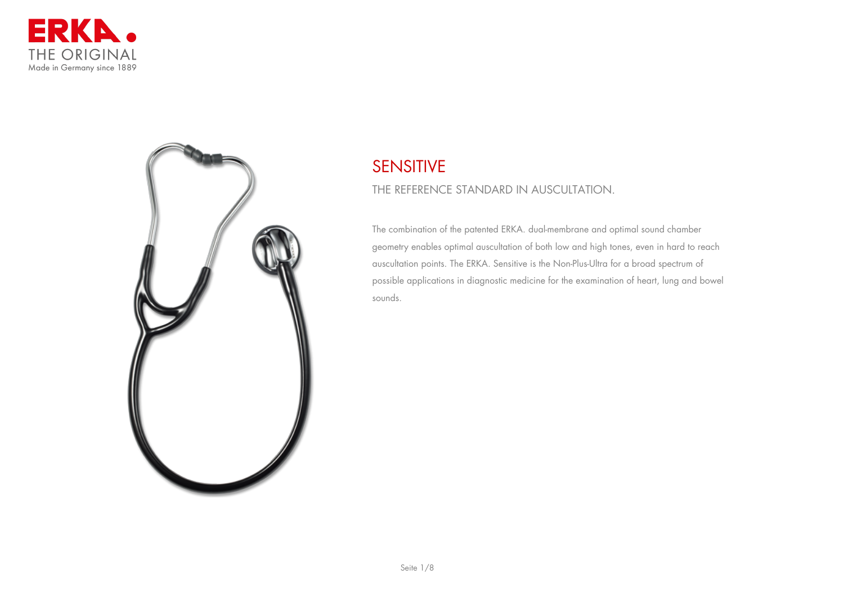



# **SENSITIVE**

# **THE REFERENCE STANDARD IN AUSCULTATION.**

The combination of the patented ERKA. dual-membrane and optimal sound chamber geometry enables optimal auscultation of both low and high tones, even in hard to reach auscultation points. The ERKA. Sensitive is the Non-Plus-Ultra for a broad spectrum of possible applications in diagnostic medicine for the examination of heart, lung and bowel sounds.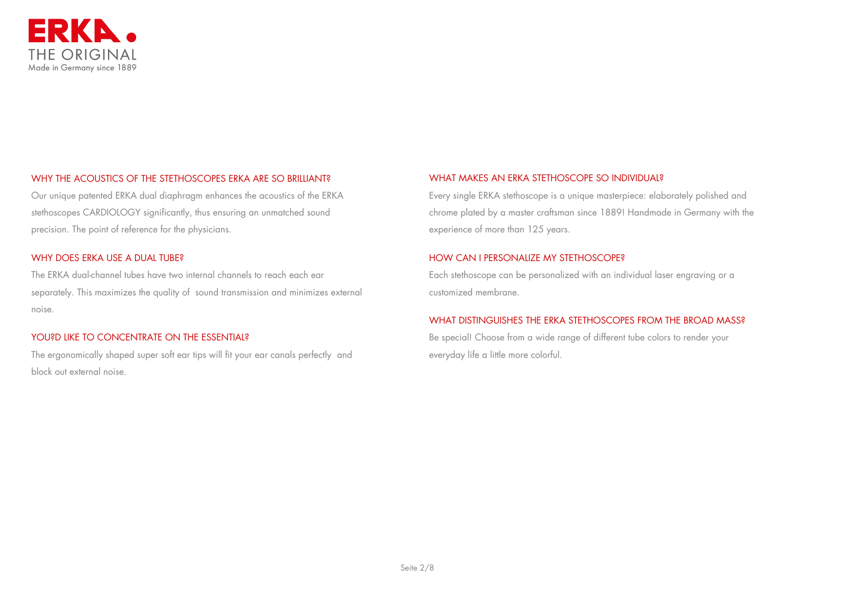

## WHY THE ACOUSTICS OF THE STETHOSCOPES ERKA ARE SO BRILLIANT?

Our unique patented ERKA dual diaphragm enhances the acoustics of the ERKA stethoscopes CARDIOLOGY significantly, thus ensuring an unmatched sound precision. The point of reference for the physicians.

#### WHY DOES ERKA USE A DUAL TUBE?

The ERKA dual-channel tubes have two internal channels to reach each ear separately. This maximizes the quality of sound transmission and minimizes external noise.

#### YOU?D LIKE TO CONCENTRATE ON THE ESSENTIAL?

The ergonomically shaped super soft ear tips will fit your ear canals perfectly and block out external noise.

#### WHAT MAKES AN ERKA STETHOSCOPE SO INDIVIDUAL?

Every single ERKA stethoscope is a unique masterpiece: elaborately polished and chrome plated by a master craftsman since 1889! Handmade in Germany with the experience of more than 125 years.

#### HOW CAN I PERSONALIZE MY STETHOSCOPE?

Each stethoscope can be personalized with an individual laser engraving or a customized membrane.

#### WHAT DISTINGUISHES THE ERKA STETHOSCOPES FROM THE BROAD MASS?

Be special! Choose from a wide range of different tube colors to render your everyday life a little more colorful.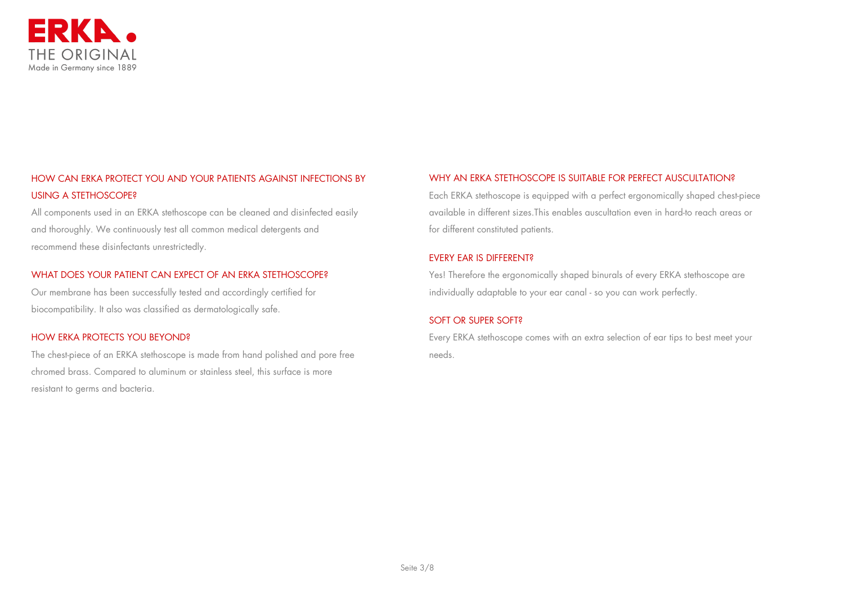

# HOW CAN ERKA PROTECT YOU AND YOUR PATIENTS AGAINST INFECTIONS BY USING A STETHOSCOPE?

All components used in an ERKA stethoscope can be cleaned and disinfected easily and thoroughly. We continuously test all common medical detergents and recommend these disinfectants unrestrictedly.

#### WHAT DOES YOUR PATIENT CAN EXPECT OF AN ERKA STETHOSCOPE?

Our membrane has been successfully tested and accordingly certified for biocompatibility. It also was classified as dermatologically safe.

#### HOW ERKA PROTECTS YOU BEYOND?

The chest-piece of an ERKA stethoscope is made from hand polished and pore free chromed brass. Compared to aluminum or stainless steel, this surface is more resistant to germs and bacteria.

## WHY AN ERKA STETHOSCOPE IS SUITABLE FOR PERFECT AUSCULTATION?

Each ERKA stethoscope is equipped with a perfect ergonomically shaped chest-piece available in different sizes.This enables auscultation even in hard-to reach areas or for different constituted patients.

#### EVERY EAR IS DIFFERENT?

Yes! Therefore the ergonomically shaped binurals of every ERKA stethoscope are individually adaptable to your ear canal - so you can work perfectly.

#### SOFT OR SUPER SOFT?

Every ERKA stethoscope comes with an extra selection of ear tips to best meet your needs.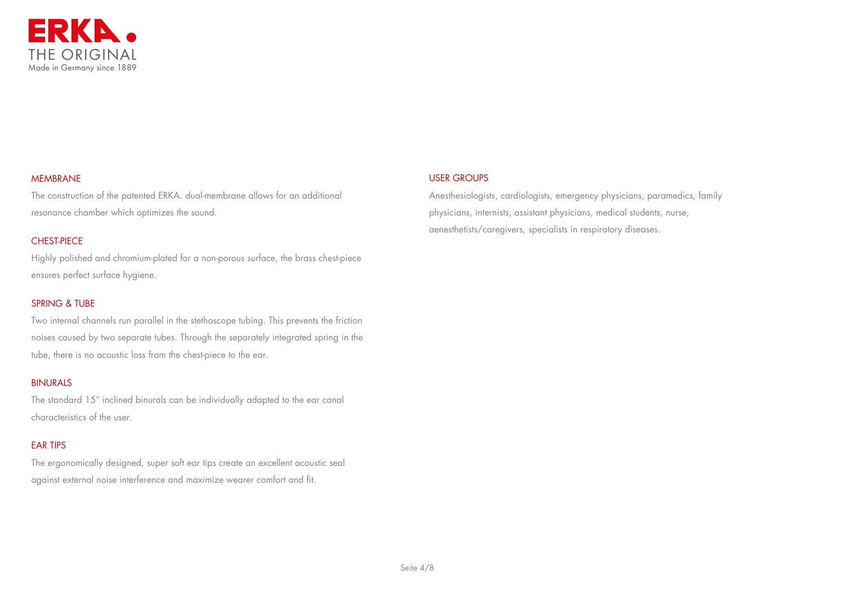

#### MEMBRANE

The construction of the patented ERKA. dual-membrane allows for an additional resonance chamber which optimizes the sound.

# CHEST-PIECE

Highly polished and chromium-plated for a non-porous surface, the brass chest-piece ensures perfect surface hygiene.

# SPRING & TUBE

Two internal channels run parallel in the stethoscope tubing. This prevents the friction noises caused by two separate tubes. Through the separately integrated spring in the tube, there is no acoustic loss from the chest-piece to the ear.

#### BINURALS

The standard 15° inclined binurals can be individually adapted to the ear canal characteristics of the user.

# EAR TIPS

The ergonomically designed, super soft ear tips create an excellent acoustic seal against external noise interference and maximize wearer comfort and fit.

# USER GROUPS

Anesthesiologists, cardiologists, emergency physicians, paramedics, family physicians, internists, assistant physicians, medical students, nurse, aenesthetists/caregivers, specialists in respiratory diseases.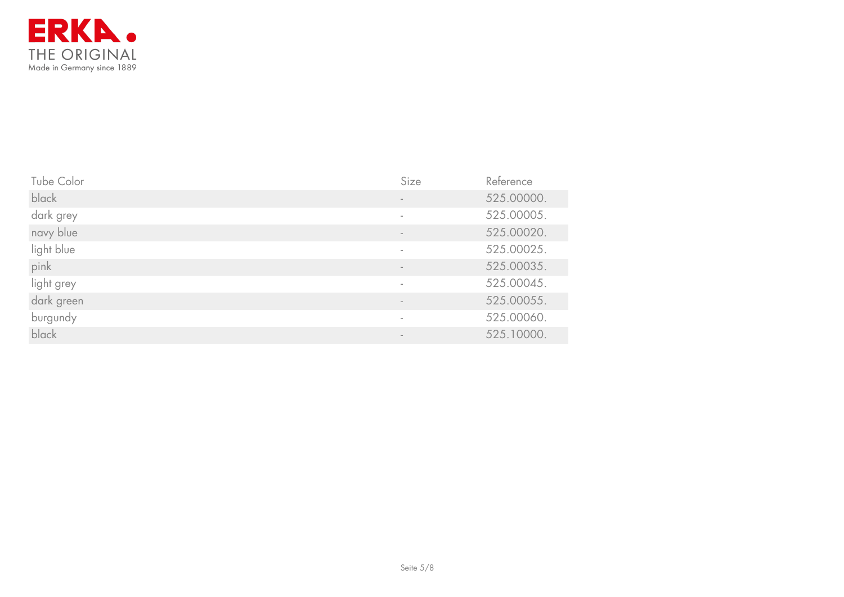

| Tube Color | Size                     | Reference  |
|------------|--------------------------|------------|
| black      |                          | 525.00000. |
| dark grey  | $\overline{\phantom{a}}$ | 525.00005. |
| navy blue  |                          | 525.00020. |
| light blue |                          | 525.00025. |
| pink       |                          | 525.00035. |
| light grey |                          | 525.00045. |
| dark green |                          | 525.00055. |
| burgundy   | $\overline{\phantom{a}}$ | 525.00060. |
| black      |                          | 525.10000. |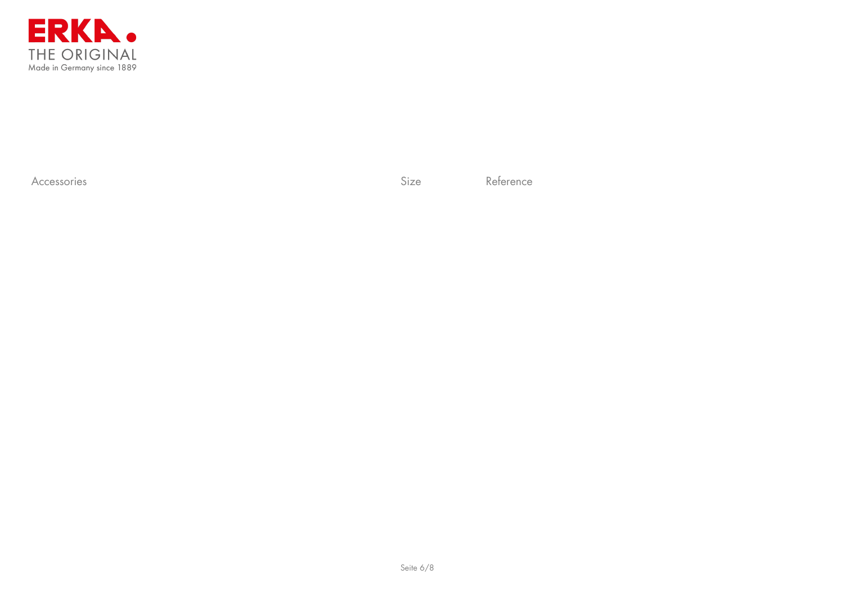

Accessories Reference Reference Reference Reference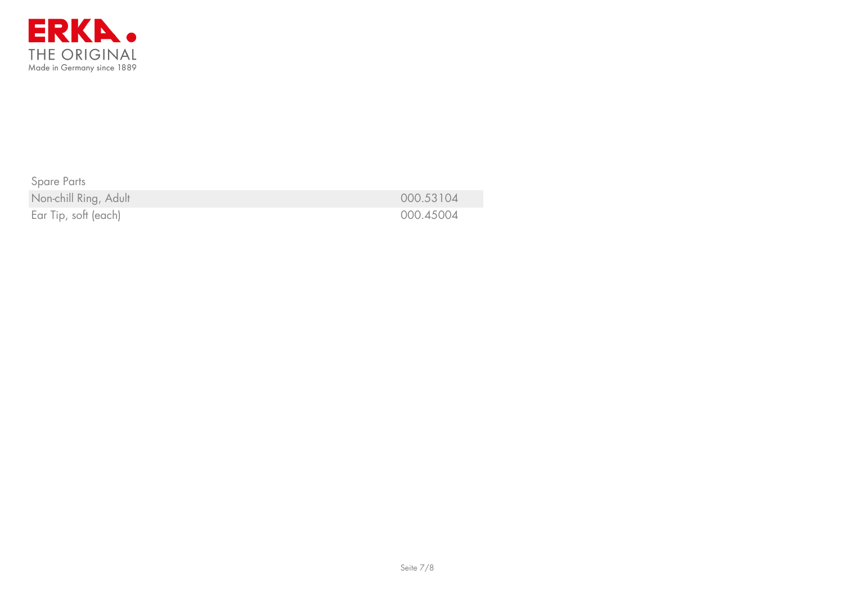

Spare Parts Non-chill Ring, Adult **2008** 2008 2014 2014 2020 2021 2021 2022 2022 2023 204

Ear Tip, soft (each) 000.45004